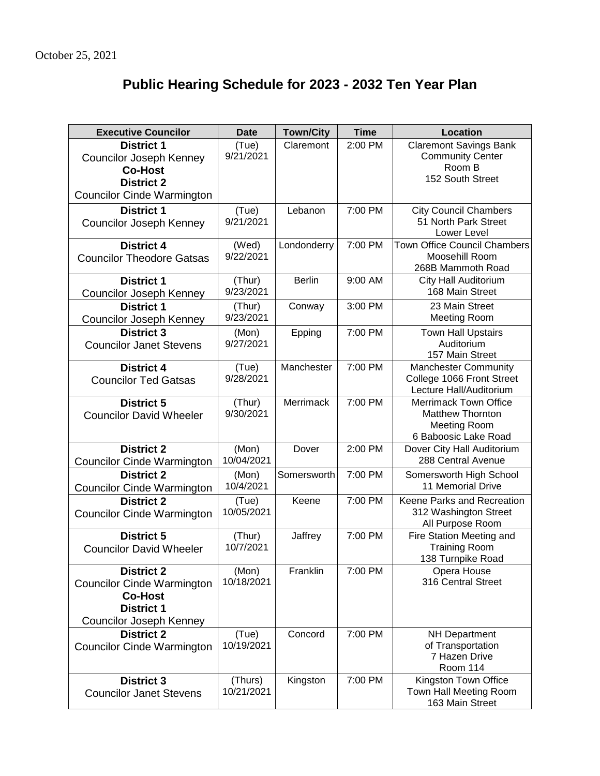## **Public Hearing Schedule for 2023 - 2032 Ten Year Plan**

| <b>Executive Councilor</b>                                                                                                      | <b>Date</b>           | <b>Town/City</b> | <b>Time</b> | Location                                                                                               |
|---------------------------------------------------------------------------------------------------------------------------------|-----------------------|------------------|-------------|--------------------------------------------------------------------------------------------------------|
| <b>District 1</b><br><b>Councilor Joseph Kenney</b><br><b>Co-Host</b><br><b>District 2</b>                                      | (Tue)<br>9/21/2021    | Claremont        | 2:00 PM     | <b>Claremont Savings Bank</b><br><b>Community Center</b><br>Room B<br>152 South Street                 |
| <b>Councilor Cinde Warmington</b>                                                                                               |                       |                  |             |                                                                                                        |
| <b>District 1</b><br><b>Councilor Joseph Kenney</b>                                                                             | (Tue)<br>9/21/2021    | Lebanon          | 7:00 PM     | <b>City Council Chambers</b><br>51 North Park Street<br>Lower Level                                    |
| <b>District 4</b><br><b>Councilor Theodore Gatsas</b>                                                                           | (Wed)<br>9/22/2021    | Londonderry      | 7:00 PM     | <b>Town Office Council Chambers</b><br>Moosehill Room<br>268B Mammoth Road                             |
| <b>District 1</b><br><b>Councilor Joseph Kenney</b>                                                                             | (Thur)<br>9/23/2021   | <b>Berlin</b>    | 9:00 AM     | City Hall Auditorium<br>168 Main Street                                                                |
| <b>District 1</b><br><b>Councilor Joseph Kenney</b>                                                                             | (Thur)<br>9/23/2021   | Conway           | 3:00 PM     | 23 Main Street<br><b>Meeting Room</b>                                                                  |
| <b>District 3</b><br><b>Councilor Janet Stevens</b>                                                                             | (Mon)<br>9/27/2021    | Epping           | 7:00 PM     | <b>Town Hall Upstairs</b><br>Auditorium<br>157 Main Street                                             |
| <b>District 4</b><br><b>Councilor Ted Gatsas</b>                                                                                | (Tue)<br>9/28/2021    | Manchester       | 7:00 PM     | <b>Manchester Community</b><br>College 1066 Front Street<br>Lecture Hall/Auditorium                    |
| <b>District 5</b><br><b>Councilor David Wheeler</b>                                                                             | (Thur)<br>9/30/2021   | Merrimack        | 7:00 PM     | <b>Merrimack Town Office</b><br><b>Matthew Thornton</b><br><b>Meeting Room</b><br>6 Baboosic Lake Road |
| <b>District 2</b><br><b>Councilor Cinde Warmington</b>                                                                          | (Mon)<br>10/04/2021   | Dover            | 2:00 PM     | Dover City Hall Auditorium<br>288 Central Avenue                                                       |
| <b>District 2</b><br><b>Councilor Cinde Warmington</b>                                                                          | (Mon)<br>10/4/2021    | Somersworth      | 7:00 PM     | Somersworth High School<br>11 Memorial Drive                                                           |
| <b>District 2</b><br><b>Councilor Cinde Warmington</b>                                                                          | (Tue)<br>10/05/2021   | Keene            | 7:00 PM     | Keene Parks and Recreation<br>312 Washington Street<br>All Purpose Room                                |
| <b>District 5</b><br><b>Councilor David Wheeler</b>                                                                             | (Thur)<br>10/7/2021   | Jaffrey          | 7:00 PM     | Fire Station Meeting and<br><b>Training Room</b><br>138 Turnpike Road                                  |
| <b>District 2</b><br><b>Councilor Cinde Warmington</b><br><b>Co-Host</b><br><b>District 1</b><br><b>Councilor Joseph Kenney</b> | (Mon)<br>10/18/2021   | Franklin         | 7:00 PM     | Opera House<br>316 Central Street                                                                      |
| <b>District 2</b><br><b>Councilor Cinde Warmington</b>                                                                          | (Tue)<br>10/19/2021   | Concord          | 7:00 PM     | <b>NH Department</b><br>of Transportation<br>7 Hazen Drive<br><b>Room 114</b>                          |
| <b>District 3</b><br><b>Councilor Janet Stevens</b>                                                                             | (Thurs)<br>10/21/2021 | Kingston         | 7:00 PM     | Kingston Town Office<br>Town Hall Meeting Room<br>163 Main Street                                      |